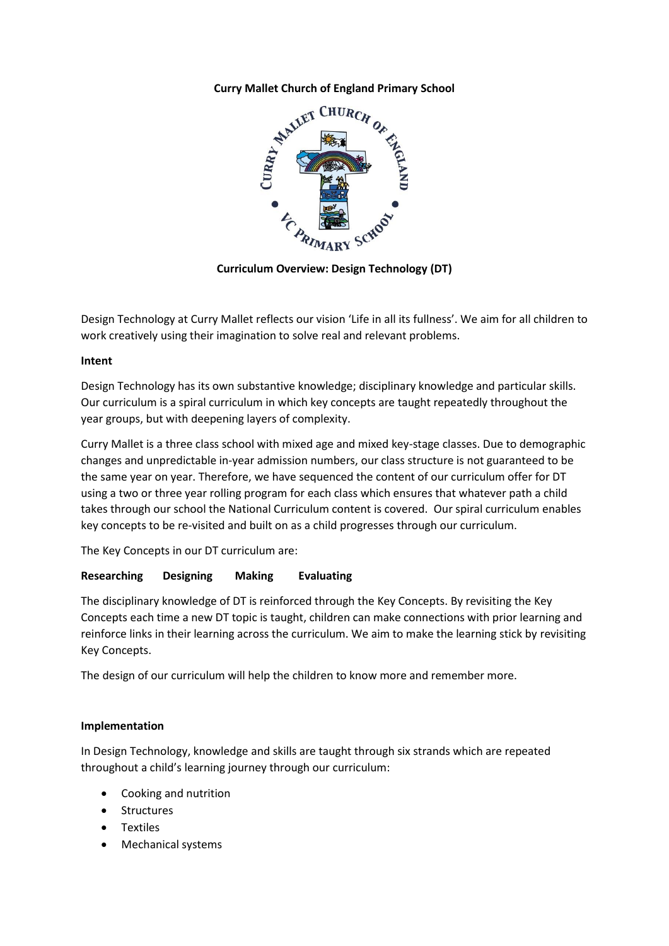## **Curry Mallet Church of England Primary School**



**Curriculum Overview: Design Technology (DT)**

Design Technology at Curry Mallet reflects our vision 'Life in all its fullness'. We aim for all children to work creatively using their imagination to solve real and relevant problems.

## **Intent**

Design Technology has its own substantive knowledge; disciplinary knowledge and particular skills. Our curriculum is a spiral curriculum in which key concepts are taught repeatedly throughout the year groups, but with deepening layers of complexity.

Curry Mallet is a three class school with mixed age and mixed key-stage classes. Due to demographic changes and unpredictable in-year admission numbers, our class structure is not guaranteed to be the same year on year. Therefore, we have sequenced the content of our curriculum offer for DT using a two or three year rolling program for each class which ensures that whatever path a child takes through our school the National Curriculum content is covered. Our spiral curriculum enables key concepts to be re-visited and built on as a child progresses through our curriculum.

The Key Concepts in our DT curriculum are:

# **Researching Designing Making Evaluating**

The disciplinary knowledge of DT is reinforced through the Key Concepts. By revisiting the Key Concepts each time a new DT topic is taught, children can make connections with prior learning and reinforce links in their learning across the curriculum. We aim to make the learning stick by revisiting Key Concepts.

The design of our curriculum will help the children to know more and remember more.

## **Implementation**

In Design Technology, knowledge and skills are taught through six strands which are repeated throughout a child's learning journey through our curriculum:

- Cooking and nutrition
- Structures
- Textiles
- Mechanical systems